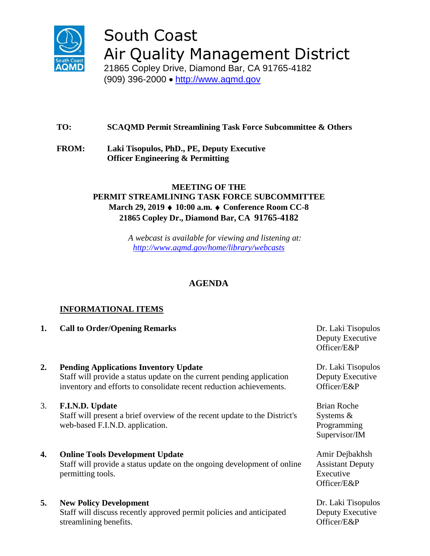

# South Coast Air Quality Management District

21865 Copley Drive, Diamond Bar, CA 91765-4182 (909) 396-2000 • [http://www.aqmd.gov](http://www.aqmd.gov/)

# **TO: SCAQMD Permit Streamlining Task Force Subcommittee & Others**

**FROM: Laki Tisopulos, PhD., PE, Deputy Executive Officer Engineering & Permitting**

## **MEETING OF THE PERMIT STREAMLINING TASK FORCE SUBCOMMITTEE March 29, 2019 ♦ 10:00 a.m. ♦ Conference Room CC-8 21865 Copley Dr., Diamond Bar, CA 91765-4182**

*A webcast is available for viewing and listening at: <http://www.aqmd.gov/home/library/webcasts>*

# **AGENDA**

## **INFORMATIONAL ITEMS**

- **1. Call to Order/Opening Remarks Dr. Laki Tisopulos**
- **2. Pending Applications Inventory Update** Staff will provide a status update on the current pending application inventory and efforts to consolidate recent reduction achievements.
- 3. **F.I.N.D. Update** Staff will present a brief overview of the recent update to the District's web-based F.I.N.D. application.

## **4. Online Tools Development Update**

Staff will provide a status update on the ongoing development of online permitting tools.

## **5. New Policy Development**

Staff will discuss recently approved permit policies and anticipated streamlining benefits.

Deputy Executive Officer/E&P

Dr. Laki Tisopulos Deputy Executive Officer/E&P

Brian Roche Systems & Programming Supervisor/IM

Amir Dejbakhsh Assistant Deputy Executive Officer/E&P

Dr. Laki Tisopulos Deputy Executive Officer/E&P